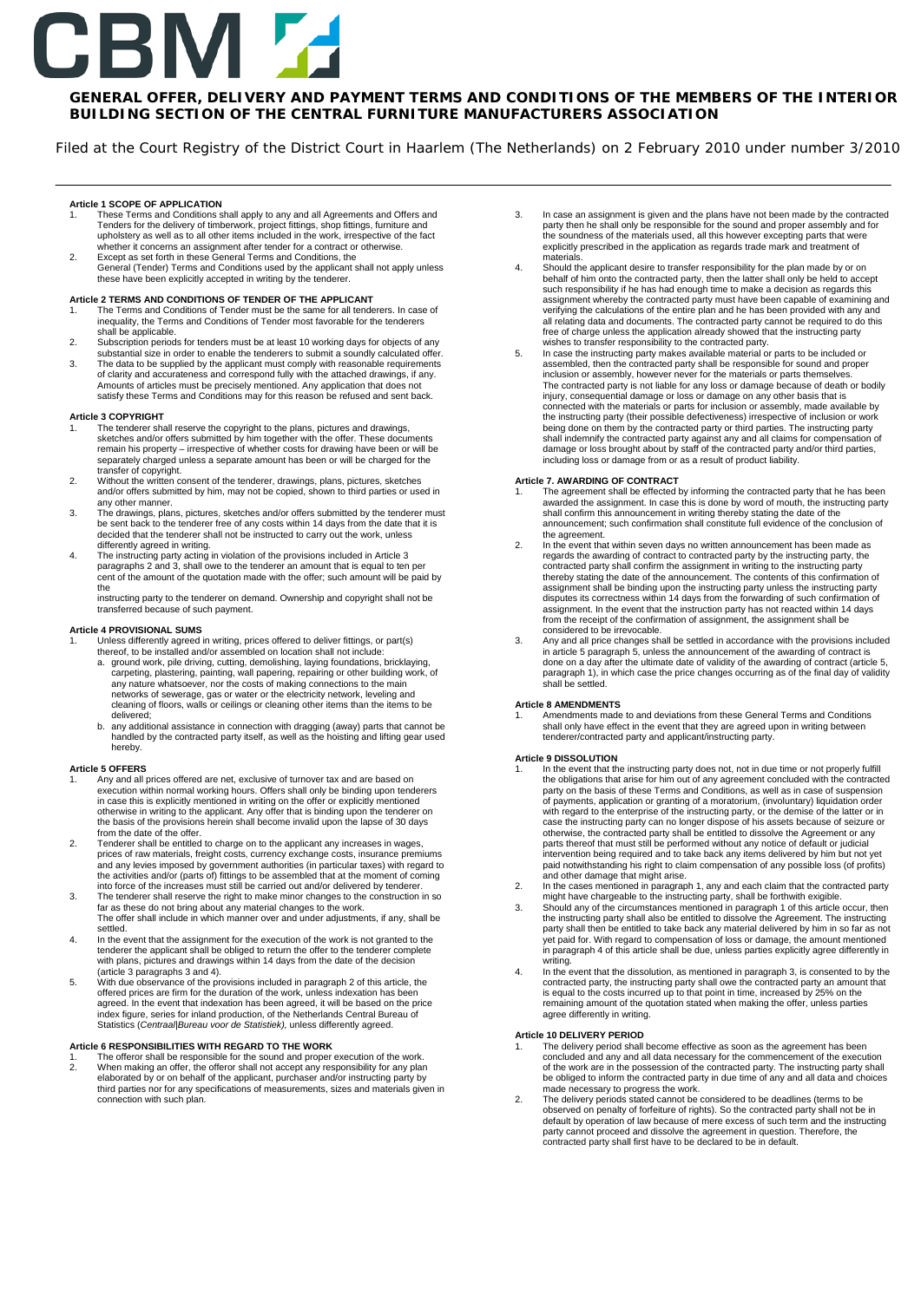# BM

# **GENERAL OFFER, DELIVERY AND PAYMENT TERMS AND CONDITIONS OF THE MEMBERS OF THE INTERIOR BUILDING SECTION OF THE CENTRAL FURNITURE MANUFACTURERS ASSOCIATION**

Filed at the Court Registry of the District Court in Haarlem (The Netherlands) on 2 February 2010 under number 3/2010

**Article 1 SCOPE OF APPLICATION**<br>1 These Terms and Conditions s

- 1. These Terms and Conditions shall apply to any and all Agreements and Offers and Tenders for the delivery of timberwork, project fittings, shop fittings, furniture and upholstery as well as to all other items included in the work, irrespective of the fact<br>whether it concerns an assignment after tender for a contract or otherwise.<br>2. Except as set forth in these General Terms and Con
- General (Tender) Terms and Conditions used by the applicant shall not apply unless these have been explicitly accepted in writing by the tenderer.

### **Article 2 TERMS AND CONDITIONS OF TENDER OF THE APPLICANT**

- 1. The Terms and Conditions of Tender must be the same for all tenderers. In case of inequality, the Terms and Conditions of Tender most favorable for the tenderers shall be applicable.
- 2. Subscription periods for tenders must be at least 10 working days for objects of any substantial size in order to enable the tenderers to submit a soundly calculated offer. 3. The data to be supplied by the applicant must comply with reasonable requirements
- of clarity and accurateness and correspond fully with the attached drawings, if any. Amounts of articles must be precisely mentioned. Any application that does not satisfy these Terms and Conditions may for this reason be refused and sent back.

# **Article 3 COPYRIGHT**

- 1. The tenderer shall reserve the copyright to the plans, pictures and drawings, sketches and/or offers submitted by him together with the offer. These documents remain his property – irrespective of whether costs for drawing have been or will be separately charged unless a separate amount has been or will be charged for the
- transfer of copyright. 2. Without the written consent of the tenderer, drawings, plans, pictures, sketches and/or offers submitted by him, may not be copied, shown to third parties or used in any other manner.
- 3. The drawings, plans, pictures, sketches and/or offers submitted by the tenderer must be sent back to the tenderer free of any costs within 14 days from the date that it is decided that the tenderer shall not be instructed to carry out the work, unless differently agreed in writing.
- 4. The instructing party acting in violation of the provisions included in Article 3 paragraphs 2 and 3, shall owe to the tenderer an amount that is equal to ten per cent of the amount of the quotation made with the offer; such amount will be paid by the

instructing party to the tenderer on demand. Ownership and copyright shall not be transferred because of such payment.

### **Article 4 PROVISIONAL SUMS**

- 1. Unless differently agreed in writing, prices offered to deliver fittings, or part(s) thereof, to be installed and/or assembled on location shall not include:
	- a. ground work, pile driving, cutting, demolishing, laying foundations, bricklaying,<br>carpeting, plastering, painting, wall papering, repairing or other building work, of<br>any nature whatsoever, nor the costs of making conne delivered;
	- b. any additional assistance in connection with dragging (away) parts that cannot be handled by the contracted party itself, as well as the hoisting and lifting gear used hereby.

### **Article 5 OFFERS**

- 1. Any and all prices offered are net, exclusive of turnover tax and are based on execution within normal working hours. Offers shall only be binding upon tenderers in case this is explicitly mentioned in writing on the offer or explicitly mentioned otherwise in writing to the applicant. Any offer that is binding upon the tenderer on the basis of the provisions herein shall become invalid upon the lapse of 30 days from the date of the offer.
- 2. Tenderer shall be entitled to charge on to the applicant any increases in wages, prices of raw materials, freight costs, currency exchange costs, insurance premiums and any levies imposed by government authorities (in particular taxes) with regard to the activities and/or (parts of) fittings to be assembled that at the moment of coming into force of the increases must still be carried out and/or delivered by tenderer.
- 3. The tenderer shall reserve the right to make minor changes to the construction in so far as these do not bring about any material changes to the work. The offer shall include in which manner over and under adjustments, if any, shall be
- settled. 4. In the event that the assignment for the execution of the work is not granted to the tenderer the applicant shall be obliged to return the offer to the tenderer complete with plans, pictures and drawings within 14 days from the date of the decision (article 3 paragraphs 3 and 4).
- 5. With due observance of the provisions included in paragraph 2 of this article, the offered prices are firm for the duration of the work, unless indexation has been agreed. In the event that indexation has been agreed, it will be based on the price<br>index figure, series for inland production, of the Netherlands Central Bureau of<br>Statistics (*Centraal|Bureau voor de Statistiek),* unless

# **Article 6 RESPONSIBILITIES WITH REGARD TO THE WORK**

1. The offeror shall be responsible for the sound and proper execution of the work. 2. When making an offer, the offeror shall not accept any responsibility for any plan elaborated by or on behalf of the applicant, purchaser and/or instructing party by third parties nor for any specifications of measurements, sizes and materials given in connection with such plan.

- 3. In case an assignment is given and the plans have not been made by the contracted party then he shall only be responsible for the sound and proper assembly and for the soundness of the materials used, all this however excepting parts that were explicitly prescribed in the application as regards trade mark and treatment of materials.
- 4. Should the applicant desire to transfer responsibility for the plan made by or on behalf of him onto the contracted party, then the latter shall only be held to accept such responsibility if he has had enough time to make a decision as regards this assignment whereby the contracted party must have been capable of examining and verifying the calculations of the entire plan and he has been provided with any and all relating data and documents. The contracted party cannot be required to do this free of charge unless the application already showed that the instructing party
- wishes to transfer responsibility to the contracted party.<br>5. In case the instructing party makes available material or parts to be included or<br>assembled, then the contracted party shall be responsible for sound and inclusion or assembly, however never for the materials or parts themselves. The contracted party is not liable for any loss or damage because of death or bodily injury, consequential damage or loss or damage on any other basis that is<br>connected with the materials or parts for inclusion or assembly, made available by<br>the instructing party (their possible defectiveness) irrespective being done on them by the contracted party or third parties. The instructing party shall indemnify the contracted party against any and all claims for compensation of damage or loss brought about by staff of the contracted party and/or third parties, including loss or damage from or as a result of product liability.

# **Article 7. AWARDING OF CONTRACT**

- 1. The agreement shall be effected by informing the contracted party that he has been awarded the assignment. In case this is done by word of mouth, the instructing party shall confirm this announcement in writing thereby stating the date of the announcement; such confirmation shall constitute full evidence of the conclusion of the agreement.
- 2. In the event that within seven days no written announcement has been made as regards the awarding of contract to contracted party by the instructing party, the contracted party shall confirm the assignment in writing to the instructing party thereby stating the date of the announcement. The contents of this confirmation of assignment shall be binding upon the instructing party unless the instructing party disputes its correctness within 14 days from the forwarding of such confirmation of assignment. In the event that the instruction party has not reacted within 14 days from the receipt of the confirmation of assignment, the assignment shall be considered to be irrevocable.
- 3. Any and all price changes shall be settled in accordance with the provisions included in article 5 paragraph 5, unless the announcement of the awarding of contract is done on a day after the ultimate date of validity of the awarding of contract (article 5, paragraph 1), in which case the price changes occurring as of the final day of validity shall be settled.

### **Article 8 AMENDMENTS**

1. Amendments made to and deviations from these General Terms and Conditions shall only have effect in the event that they are agreed upon in writing between tenderer/contracted party and applicant/instructing party.

### **Article 9 DISSOLUTION**

- 1. In the event that the instructing party does not, not in due time or not properly fulfill<br>the obligations that arise for him out of any agreement concluded with the contracted<br>party on the basis of these Terms and Condi of payments, application or granting of a moratorium, (involuntary) liquidation order with regard to the enterprise of the instructing party, or the demise of the latter or in case the instructing party can no longer dispose of his assets because of seizure or otherwise, the contracted party shall be entitled to dissolve the Agreement or any parts thereof that must still be performed without any notice of default or judicial<br>intervention being required and to take back any items delivered by him but not yet<br>paid notwithstanding his right to claim compensation and other damage that might arise.
- ln the cases mentioned in paragraph 1, any and each claim that the contracted party<br>might have chargeable to the instructing party, shall be forthwith exigible.<br>3. Should any of the circumstances mentioned in paragraph 1 o
- the instructing party shall also be entitled to dissolve the Agreement. The instructing<br>party shall then be entitled to take back any material delivered by him in so far as not<br>yet paid for. With regard to compensation of writing.
- 4. In the event that the dissolution, as mentioned in paragraph 3, is consented to by the contracted party, the instructing party shall owe the contracted party an amount that is equal to the costs incurred up to that point in time, increased by 25% on the remaining amount of the quotation stated when making the offer, unless parties agree differently in writing.

### **Article 10 DELIVERY PERIOD**

- 1. The delivery period shall become effective as soon as the agreement has been<br>concluded and any and all data necessary for the commencement of the execution<br>of the work are in the possession of the contracted party. The be obliged to inform the contracted party in due time of any and all data and choices made necessary to progress the work. 2. The delivery periods stated cannot be considered to be deadlines (terms to be
- observed on penalty of forfeiture of rights). So the contracted party shall not be in default by operation of law because of mere excess of such term and the instructing party cannot proceed and dissolve the agreement in question. Therefore, the contracted party shall first have to be declared to be in default.